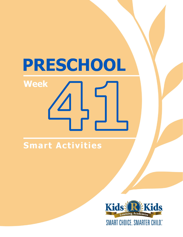# PRESCHOOL **Week**

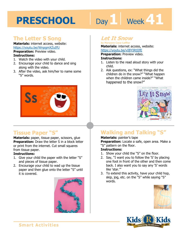# Day 1 **Week 41**

## **The Letter S Song**

#### **Materials:** internet access, website: https://youtu.be/WnpgmXZuIfU

#### **Preparation:** Preview video. **Instructions:**

- 1. Watch the video with your child.
- 2. Encourage your child to dance and sing along with the video.
- 3. After the video, ask him/her to name some "S" words.



## **Tissue Paper "S"**

**Materials:** paper, tissue paper, scissors, glue **Preparation:** Draw the letter S in a block letter or print from the internet. Cut small squares from tissue paper.

#### **Instructions:**

- 1. Give your child the paper with the letter "S" and pieces of tissue paper.
- 2. Encourage your child to wad up the tissue paper and then glue onto the letter "S" until it is covered.



## **Let It Snow**

**by Maryann Coca-Leffler Materials:** internet access, website: https://youtu.be/vIBYIRtIIfE

**1 4 Preparation:** Preview video. **Instructions:** 

- 1. Listen to the read aloud story with your child.
- 2. Ask questions, ex: "What things did the children do in the snow?" "What happen when the children came inside?" "What happened to the snow?"



# **Walking and Talking "S"**

#### **Materials:** painter's tape

**Preparation:** Locate a safe, open area. Make a "S" pattern on the floor.

#### **Instructions:**

- 1. Show your child the "S" on the floor.
- 2. Say, "I want you to follow the 'S' by placing one foot in front of the other and then come back. I also want you to say any 'S' words like 'star.'"
- 3. To extend this activity, have your child hop, skip, jog, etc. on the "S" while saying "S" words.



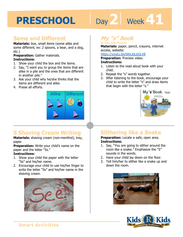# Day 2 | Week 41

## **Same and Different**

**Materials:** box, small items (some alike and some different, ex: 2 spoons, a bear, and a dog, etc.)

**Preparation:** Gather materials.

#### **Instructions:**

- 1. Show your child the box and the items.
- 2. Say, "I want you to group the items that are alike in a pile and the ones that are different in another pile."
- 3. Ask your child why he/she thinks that the items are different and alike.
- 4. Praise all efforts.



# **S Shaving Cream Writing**

**Materials:** shaving cream (non-menthol), tray, paper

**Preparation:** Write your child's name on the paper and the letter "Ss."

#### **Instructions:**

- 1. Show your child the paper with the letter "Ss" and his/her name.
- 2. Encourage your child to use his/her finger to write the letter "Ss" and his/her name in the shaving cream.



# **My "s" Book**

**by Jane Belk Moncure Materials:** paper, pencil, crayons, internet

access, website:

#### https://youtu.be/6NxJdLbGLV8

**Preparation:** Preview video.

#### **Instructions:**

- 1. Listen to the read aloud book with your child.
- 2. Repeat the "s" words together.
- 3. After listening to the book, encourage your child to write the letter "s" and draw items that begin with the letter "s."



# **Slithering like a Snake**

**Preparation:** Locate a safe, open area. **Instructions:** 

- 1. Say, "You are going to slither around the room like a snake." Emphasize the "S" sounds in the words.
- 2. Have your child lay down on the floor.
- 3. Tell him/her to slither like a snake up and down the room.



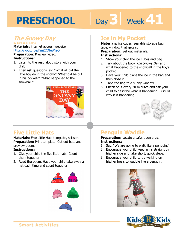# Day 3 | Week 41

#### **The Snowy Day by Ezra Jack Keats**

**Materials:** internet access, website: https://youtu.be/FmZCQfeWjeQ

**Preparation:** Preview video. **Instructions:** 

- 1. Listen to the read aloud story with your child.
- 2. Then ask questions, ex: "What all did the little boy do in the snow?" "What did he put in his pocket?" "What happened to the snowball?"



## **Five Little Hats**

**Materials:** Five Little Hats template, scissors **Preparation:** Print template. Cut out hats and preview poem.

#### **Instructions:**

- 1. Give your child the five little hats. Count them together.
- 2. Read the poem. Have your child take away a hat each time and count together.



### **Ice in My Pocket**

**Materials:** ice cubes, sealable storage bag, tape, window that gets sun

**Preparation:** Set out materials.

#### **Instructions:**

- 1. Show your child the ice cubes and bag.
- 2. Talk about the book The Snowy Day and what happened to the snowball in the boy's pocket.
- 3. Have your child place the ice in the bag and then close it.
- 4. Tape the bag to a sunny window.
- 5. Check on it every 30 minutes and ask your child to describe what is happening. Discuss why it is happening.



## **Penguin Waddle**

**Preparation:** Locate a safe, open area. **Instructions:** 

- 1. Say, "We are going to walk like a penguin."
- 2. Encourage your child keep arms straight by his/her side and take short, quick steps.
- 3. Encourage your child to try walking on his/her heels to waddle like a penguin.



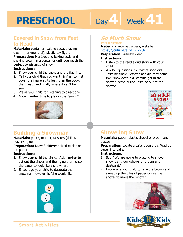# Day 4 | Week 41

### **Covered in Snow from Feet to Head**

**Materials:** container, baking soda, shaving cream (non-menthol), plastic toy figure **Preparation:** Mix 1-pound baking soda and shaving cream in a container until you reach the perfect consistency of snow.

#### **Instructions:**

- 1. Show your child the snow and the figurine.
- 2. Tell your child that you want him/her to first cover the figure at its feet, then the body, then head, and finally where it can't be seen.
- 3. Praise your child for listening to directions.
- 4. Allow him/her time to play in the "snow."



### **Building a Snowman**

**Materials:** paper, marker, scissors (child), crayons, glue

**Preparation:** Draw 3 different sized circles on the paper.

#### **Instructions:**

- 1. Show your child the circles. Ask him/her to cut out the circles and then glue them onto the paper to look like a snowman.
- 2. Encourage your child to decorate the snowman however he/she would like.



### **So Much Snow**

#### **by Robert Munsch**

**Materials:** internet access, website: https://youtu.be/aBvIDX\_c2Ok

**Preparation:** Preview video. **Instructions:** 

- 1. Listen to the read aloud story with your child.
- 2. Ask her questions, ex: "What song did Jasmine sing?" "What place did they come in?" "How deep did Jasmine get in the snow?" "Who pulled Jasmine out of the snow?"



## **Shoveling Snow**

**Materials:** paper, plastic shovel or broom and dustpan

**Preparation:** Locate a safe, open area. Wad up paper into balls.

#### **Instructions:**

- 1. Say, "We are going to pretend to shovel snow using our (shovel or broom and dustpan)."
- 2. Encourage your child to take the broom and sweep up the piles of paper or use the shovel to move the "snow."



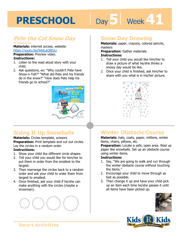# **5 41**

#### **Pete the Cat Snow Day by James Dean**

**Materials:** internet access, website: https://youtu.be/9AjiLaQ8EzU

**Preparation:** Preview video. **Instructions:** 

- 1. Listen to the read aloud story with your child.
- 2. Ask questions, ex: "Why couldn't Pete have Show-n-Tell?" "What did Pete and his friends do in the snow?" "How does Pete help his friends go to school?"



# **Sizing It Up Snowballs**

#### **Materials:** Circles template, scissors

**Preparation:** Print template and cut out circles. Lay the circles in a random order.

#### **Instructions:**

- 1. Show your child the different circle shapes.
- 2. Tell your child you would like for him/her to put them in order from the smallest to the largest.
- 3. Then rearrange the circles back to a random order and ask your child to order them from largest to smallest.
- 4. Once finished, ask your child if he/she can make anything with the circles (maybe a snowman).



### **Snow Day Drawing**

**Materials:** paper, crayons, colored pencils, markers

**Preparation:** Gather materials. **Instructions:** 

- 1. Tell your child you would like him/her to draw a picture of what he/she thinks a snowy day would be like.
- 2. Once your child is finished, ask him/her to share with you what is in his/her picture.



# **Winter Obstacle Course**

**Materials:** hats, coats, paper, mittens, winter items, chairs, pillows, etc.

**Preparation:** Locate a safe, open area. Wad up paper like snowballs. Set up an obstacle course using winter items.

#### **Instructions:**

- 1. Say, "We are going to walk and run through the winter obstacle course without touching the items."
- 2. Encourage your child to move through as fast as possible.
- 3. Then change it up and have your child pick up an item each time he/she passes it until all items have been picked up.



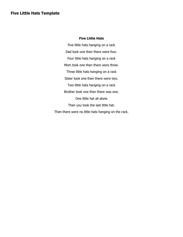#### **Five Little Hats**

Five little hats hanging on a rack Dad took one then there were four. Four little hats hanging on a rack Mom took one then there were three. Three little hats hanging on a rack Sister took one then there were two. Two little hats hanging on a rack Brother took one then there was one. One little hat all alone Then you took the last little hat. Then there were no little hats hanging on the rack.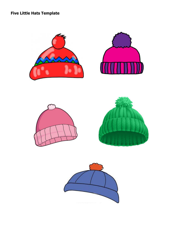**Five Little Hats Template**